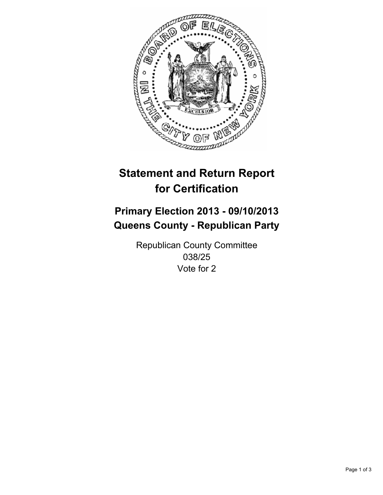

# **Statement and Return Report for Certification**

# **Primary Election 2013 - 09/10/2013 Queens County - Republican Party**

Republican County Committee 038/25 Vote for 2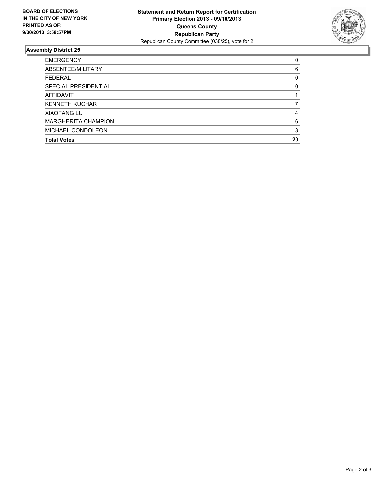

## **Assembly District 25**

| <b>EMERGENCY</b>           | 0        |
|----------------------------|----------|
| ABSENTEE/MILITARY          | 6        |
| <b>FEDERAL</b>             | 0        |
| SPECIAL PRESIDENTIAL       | $\Omega$ |
| <b>AFFIDAVIT</b>           |          |
| <b>KENNETH KUCHAR</b>      |          |
| <b>XIAOFANG LU</b>         | 4        |
| <b>MARGHERITA CHAMPION</b> | 6        |
| MICHAEL CONDOLEON          | 3        |
| <b>Total Votes</b>         | 20       |